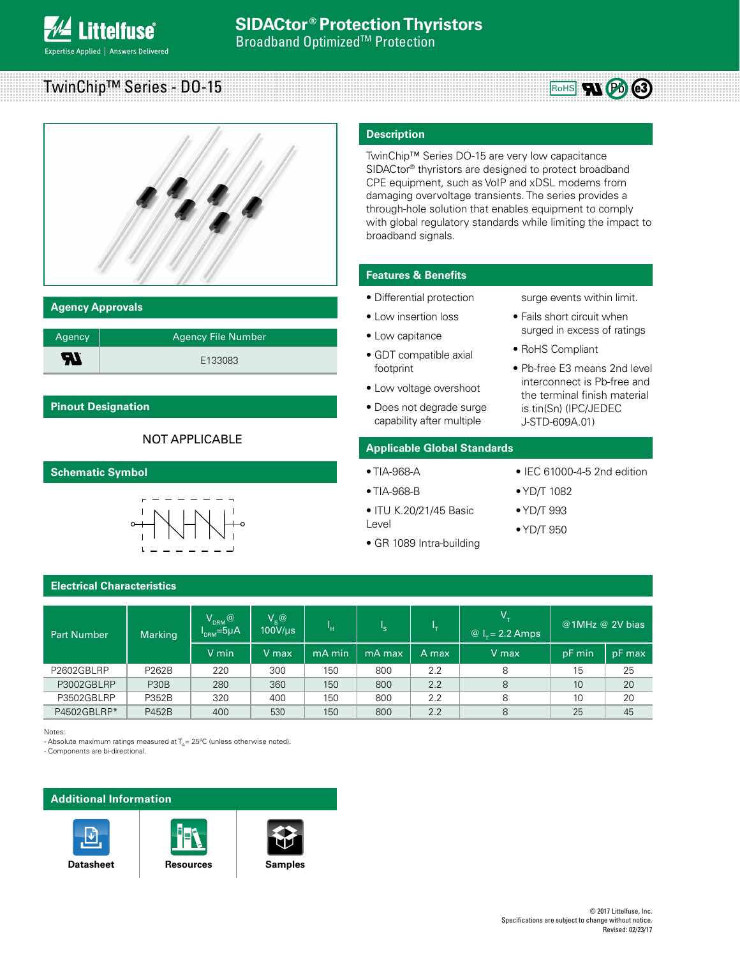



# **Agency Approvals**

| Agency | <b>Agency File Number</b> |
|--------|---------------------------|
| W      | E133083                   |

# **Pinout Designation**

# NOT APPLICABLE

**Schematic Symbol**



# **Electrical Characteristics**

| <b>Part Number</b> | <b>Marking</b> | $\mathsf{V}_{\mathsf{DRM}} @$<br>$IDRM=5\mu A$ | $V_{\rm c}$ @<br>$100$ V/ $\mu$ s | 'н     |         | ь.    | V.<br>@ $I_r = 2.2$ Amps | @1MHz @ 2V bias |        |
|--------------------|----------------|------------------------------------------------|-----------------------------------|--------|---------|-------|--------------------------|-----------------|--------|
|                    |                | V min                                          | V max                             | mA min | mA maxi | A max | V max                    | pF min          | pF max |
| P2602GBLRP         | P262B          | 220                                            | 300                               | 150    | 800     | 2.2   | 8                        | 15              | 25     |
| P3002GBLRP         | <b>P30B</b>    | 280                                            | 360                               | 150    | 800     | 2.2   | 8                        | 10              | 20     |
| P3502GBLRP         | P352B          | 320                                            | 400                               | 150    | 800     | 2.2   | 8                        | 10              | 20     |
| P4502GBLRP*        | <b>P452B</b>   | 400                                            | 530                               | 150    | 800     | 2.2   | 8                        | 25              | 45     |

Notes:

- Absolute maximum ratings measured at  $T<sub>n</sub>$  = 25°C (unless otherwise noted).

- Components are bi-directional.

# **Additional Information**









TwinChip™ Series DO-15 are very low capacitance SIDACtor® thyristors are designed to protect broadband CPE equipment, such as VoIP and xDSL modems from damaging overvoltage transients. The series provides a through-hole solution that enables equipment to comply with global regulatory standards while limiting the impact to broadband signals.

# **Features & Benefits**

- Differential protection
- Low insertion loss
- Low capitance
- GDT compatible axial footprint
- Low voltage overshoot
- Does not degrade surge capability after multiple

# **Applicable Global Standards**

- TIA-968-A
- TIA-968-B
- ITU K.20/21/45 Basic Level
- GR 1089 Intra-building
- IEC 61000-4-5 2nd edition

surge events within limit. • Fails short circuit when surged in excess of ratings

RoHS RUPO @3

• Pb-free E3 means 2nd level interconnect is Pb-free and the terminal finish material is tin(Sn) (IPC/JEDEC J-STD-609A.01)

• RoHS Compliant

- YD/T 1082
- YD/T 993
- YD/T 950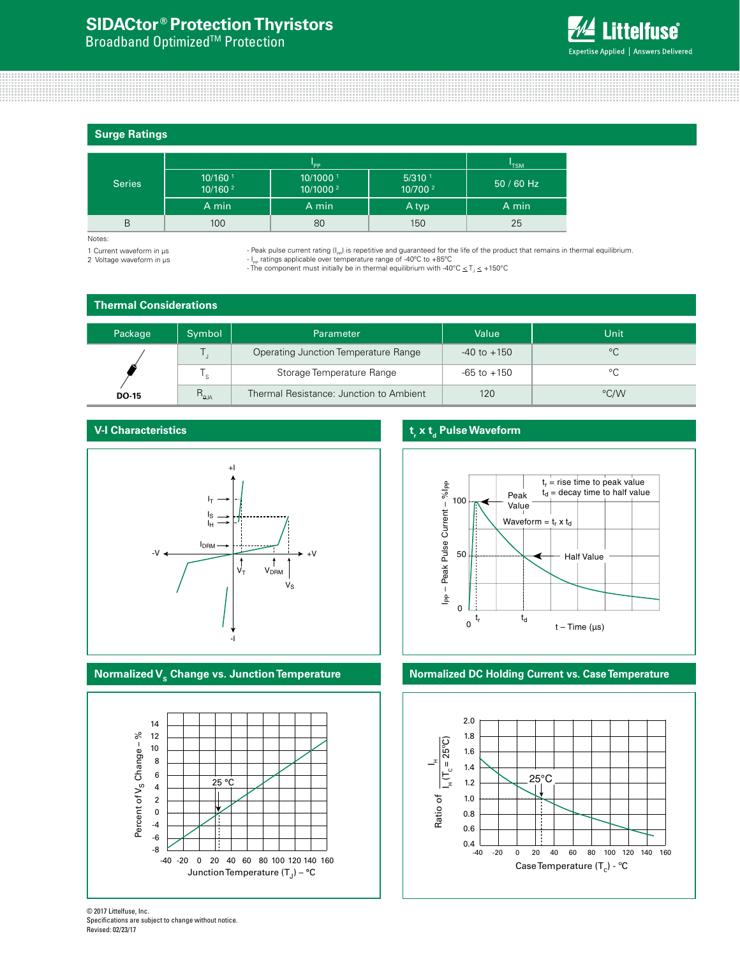# **SIDACtor ® Protection Thyristors**

**Broadband Optimized<sup>™</sup> Protection** 



**Surge Ratings**

|               |                                     | 'TSM                                         |                                             |            |
|---------------|-------------------------------------|----------------------------------------------|---------------------------------------------|------------|
| <b>Series</b> | $10/160$ <sup>1</sup><br>10/160 $2$ | 10/1000 <sup>1</sup><br>10/1000 <sup>2</sup> | $5/310$ <sup>1</sup><br>10/700 <sup>2</sup> | 50 / 60 Hz |
|               | A min                               | A min                                        | A typ                                       | A min      |
| B             | 100                                 | 80                                           | 150                                         | 25         |

Notes:

1 Current waveform in µs 2 Voltage waveform in µs - Peak pulse current rating (I<sub>PP</sub>) is repetitive and guaranteed for the life of the product that remains in thermal equilibrium.<br>- I<sub>PP</sub> ratings applicable over temperature range of -40°C to +85°C

- The component must initially be in thermal equilibrium with -40°C  $\leq$  T<sub>1</sub> $\leq$  +150°C

# **Thermal Considerations**

| Package      | Symbol         | Parameter                               | Value           | Unit         |
|--------------|----------------|-----------------------------------------|-----------------|--------------|
|              |                | Operating Junction Temperature Range    | $-40$ to $+150$ | $^{\circ}$ C |
| . ا          |                | Storage Temperature Range               | $-65$ to $+150$ | $\circ$      |
| <b>DO-15</b> | $R_{\theta$ JA | Thermal Resistance: Junction to Ambient | 120             | °C/W         |

# **V-I Characteristics**





# **t**, x t<sub>d</sub> Pulse Waveform



# **Normalized V<sub>s</sub> Change vs. Junction Temperature <b>Normalized DC Holding Current vs. Case Temperature**



<sup>© 2017</sup> Littelfuse, Inc. Specifications are subject to change without notice. Revised: 02/23/17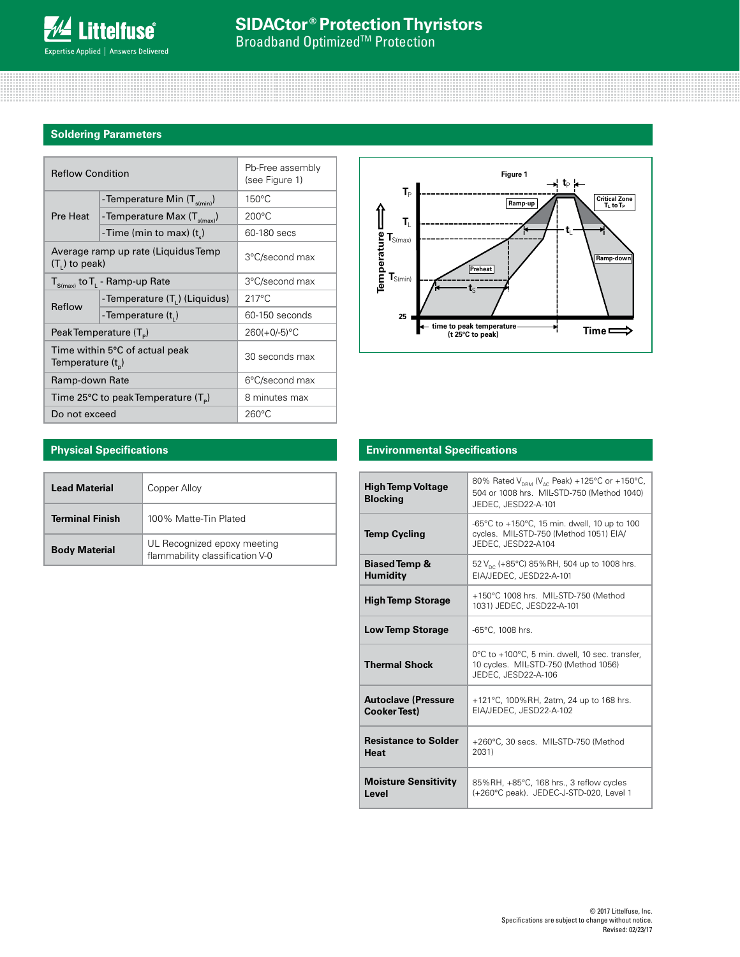# **Soldering Parameters**

| <b>Reflow Condition</b>                                 |                                             | Pb-Free assembly<br>(see Figure 1) |  |
|---------------------------------------------------------|---------------------------------------------|------------------------------------|--|
|                                                         | - Temperature Min $(T_{\text{s(min)}})$     | $150^{\circ}$ C                    |  |
| Pre Heat                                                | - Temperature Max (T <sub>s(max)</sub> )    | $200^{\circ}$ C                    |  |
|                                                         | -Time (min to max) $(t_*)$                  | 60-180 secs                        |  |
| Average ramp up rate (Liquidus Temp<br>$(T1)$ to peak)  |                                             | 3°C/second max                     |  |
|                                                         | $T_{S(max)}$ to $T_{L}$ - Ramp-up Rate      | 3°C/second max                     |  |
|                                                         | -Temperature (T.) (Liquidus)                | $217^{\circ}$ C                    |  |
| Reflow                                                  | -Temperature (t,)                           | 60-150 seconds                     |  |
| Peak Temperature (T <sub>e</sub> )                      |                                             | $260(+0/-5)$ °C                    |  |
| Time within 5°C of actual peak<br>Temperature $(t_{n})$ |                                             | 30 seconds max                     |  |
| Ramp-down Rate                                          |                                             | 6°C/second max                     |  |
|                                                         | Time 25°C to peak Temperature $(T_{\circ})$ | 8 minutes max                      |  |
| Do not exceed                                           |                                             | $260^{\circ}$ C                    |  |



# **Physical Specifications**

| <b>Lead Material</b>   | Copper Alloy                                                   |  |
|------------------------|----------------------------------------------------------------|--|
| <b>Terminal Finish</b> | 100% Matte-Tin Plated                                          |  |
| <b>Body Material</b>   | UL Recognized epoxy meeting<br>flammability classification V-0 |  |

# **Environmental Specifications**

| <b>High Temp Voltage</b><br><b>Blocking</b>       | 80% Rated V <sub>DRM</sub> (V <sub>AC</sub> Peak) +125°C or +150°C,<br>504 or 1008 hrs. MIL-STD-750 (Method 1040)<br>JEDEC, JESD22-A-101 |
|---------------------------------------------------|------------------------------------------------------------------------------------------------------------------------------------------|
| <b>Temp Cycling</b>                               | -65°C to +150°C, 15 min. dwell, 10 up to 100<br>cycles. MIL-STD-750 (Method 1051) EIA/<br>JEDEC, JESD22-A104                             |
| <b>Biased Temp &amp;</b><br><b>Humidity</b>       | 52 V <sub>pc</sub> (+85°C) 85%RH, 504 up to 1008 hrs.<br>EIA/JEDEC, JESD22-A-101                                                         |
| <b>High Temp Storage</b>                          | +150°C 1008 hrs. MIL-STD-750 (Method<br>1031) JEDEC, JESD22-A-101                                                                        |
| <b>Low Temp Storage</b>                           | -65°C, 1008 hrs.                                                                                                                         |
| <b>Thermal Shock</b>                              | 0°C to +100°C, 5 min. dwell, 10 sec. transfer,<br>10 cycles. MIL-STD-750 (Method 1056)<br>JEDEC, JESD22-A-106                            |
| <b>Autoclave (Pressure</b><br><b>Cooker Test)</b> | +121°C, 100%RH, 2atm, 24 up to 168 hrs.<br>EIA/JEDEC, JESD22-A-102                                                                       |
| <b>Resistance to Solder</b><br><b>Heat</b>        | +260°C, 30 secs. MIL-STD-750 (Method<br>2031)                                                                                            |
| <b>Moisture Sensitivity</b><br>Level              | 85%RH, +85°C, 168 hrs., 3 reflow cycles<br>(+260°C peak). JEDEC-J-STD-020, Level 1                                                       |